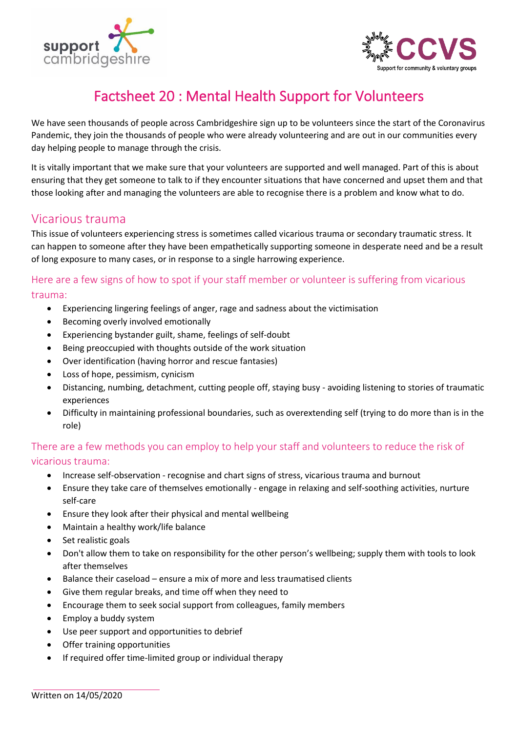



# Factsheet 20 : Mental Health Support for Volunteers

We have seen thousands of people across Cambridgeshire sign up to be volunteers since the start of the Coronavirus Pandemic, they join the thousands of people who were already volunteering and are out in our communities every day helping people to manage through the crisis.

It is vitally important that we make sure that your volunteers are supported and well managed. Part of this is about ensuring that they get someone to talk to if they encounter situations that have concerned and upset them and that those looking after and managing the volunteers are able to recognise there is a problem and know what to do.

### Vicarious trauma

This issue of volunteers experiencing stress is sometimes called vicarious trauma or secondary traumatic stress. It can happen to someone after they have been empathetically supporting someone in desperate need and be a result of long exposure to many cases, or in response to a single harrowing experience.

### Here are a few signs of how to spot if your staff member or volunteer is suffering from vicarious trauma:

- Experiencing lingering feelings of anger, rage and sadness about the victimisation
- Becoming overly involved emotionally
- Experiencing bystander guilt, shame, feelings of self-doubt
- Being preoccupied with thoughts outside of the work situation
- Over identification (having horror and rescue fantasies)
- Loss of hope, pessimism, cynicism
- Distancing, numbing, detachment, cutting people off, staying busy avoiding listening to stories of traumatic experiences
- Difficulty in maintaining professional boundaries, such as overextending self (trying to do more than is in the role)

### There are a few methods you can employ to help your staff and volunteers to reduce the risk of vicarious trauma:

- Increase self-observation recognise and chart signs of stress, vicarious trauma and burnout
- Ensure they take care of themselves emotionally engage in relaxing and self-soothing activities, nurture self-care
- Ensure they look after their physical and mental wellbeing
- Maintain a healthy work/life balance
- Set realistic goals
- Don't allow them to take on responsibility for the other person's wellbeing; supply them with tools to look after themselves
- Balance their caseload ensure a mix of more and less traumatised clients
- Give them regular breaks, and time off when they need to
- Encourage them to seek social support from colleagues, family members
- Employ a buddy system
- Use peer support and opportunities to debrief
- Offer training opportunities
- If required offer time-limited group or individual therapy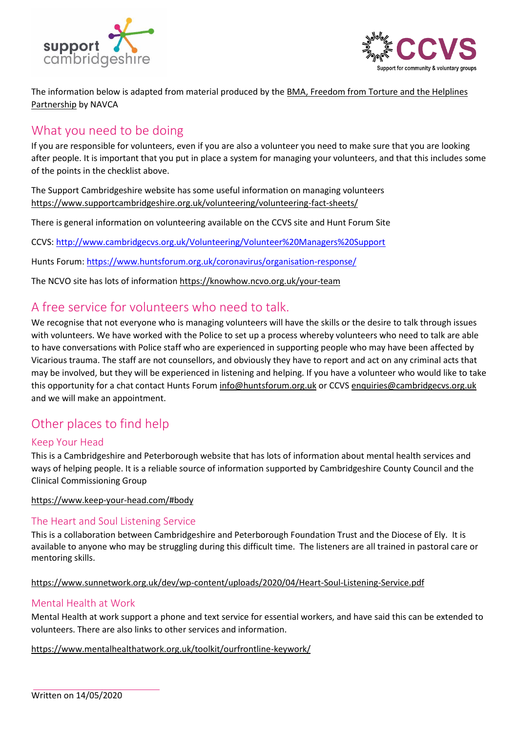



The information below is adapted from material produced by th[e BMA, Freedom from Torture and the Helplines](https://helplines.org/wp-content/uploads/2015/11/Vicarious-Trauma-in-helplines.pdf)  [Partnership](https://helplines.org/wp-content/uploads/2015/11/Vicarious-Trauma-in-helplines.pdf) by NAVCA

# What you need to be doing

If you are responsible for volunteers, even if you are also a volunteer you need to make sure that you are looking after people. It is important that you put in place a system for managing your volunteers, and that this includes some of the points in the checklist above.

The Support Cambridgeshire website has some useful information on managing volunteers <https://www.supportcambridgeshire.org.uk/volunteering/volunteering-fact-sheets/>

There is general information on volunteering available on the CCVS site and Hunt Forum Site

CCVS:<http://www.cambridgecvs.org.uk/Volunteering/Volunteer%20Managers%20Support>

Hunts Forum[: https://www.huntsforum.org.uk/coronavirus/organisation-response/](https://www.huntsforum.org.uk/coronavirus/organisation-response/)

The NCVO site has lots of informatio[n https://knowhow.ncvo.org.uk/your-team](https://knowhow.ncvo.org.uk/your-team)

### A free service for volunteers who need to talk.

We recognise that not everyone who is managing volunteers will have the skills or the desire to talk through issues with volunteers. We have worked with the Police to set up a process whereby volunteers who need to talk are able to have conversations with Police staff who are experienced in supporting people who may have been affected by Vicarious trauma. The staff are not counsellors, and obviously they have to report and act on any criminal acts that may be involved, but they will be experienced in listening and helping. If you have a volunteer who would like to take this opportunity for a chat contact Hunts Forum [info@huntsforum.org.uk](mailto:info@huntsforum.org.uk) or CCVS [enquiries@cambridgecvs.org.uk](mailto:enquiries@cambridgecvs.org.uk) and we will make an appointment.

# Other places to find help

#### Keep Your Head

This is a Cambridgeshire and Peterborough website that has lots of information about mental health services and ways of helping people. It is a reliable source of information supported by Cambridgeshire County Council and the Clinical Commissioning Group

<https://www.keep-your-head.com/#body>

#### [The Heart and Soul Listening Service](https://www.sunnetwork.org.uk/dev/wp-content/uploads/2020/04/Heart-Soul-Listening-Service.pdf)

This is a collaboration between Cambridgeshire and Peterborough Foundation Trust and the Diocese of Ely. It is available to anyone who may be struggling during this difficult time. The listeners are all trained in pastoral care or mentoring skills.

#### https://www.sunnetwork.org.uk/dev/wp-content/uploads/2020/04/Heart-Soul-Listening-Service.pdf

#### Mental Health at Work

Mental Health at work support a phone and text service for essential workers, and have said this can be extended to volunteers. There are also links to other services and information.

#### <https://www.mentalhealthatwork.org.uk/toolkit/ourfrontline-keywork/>